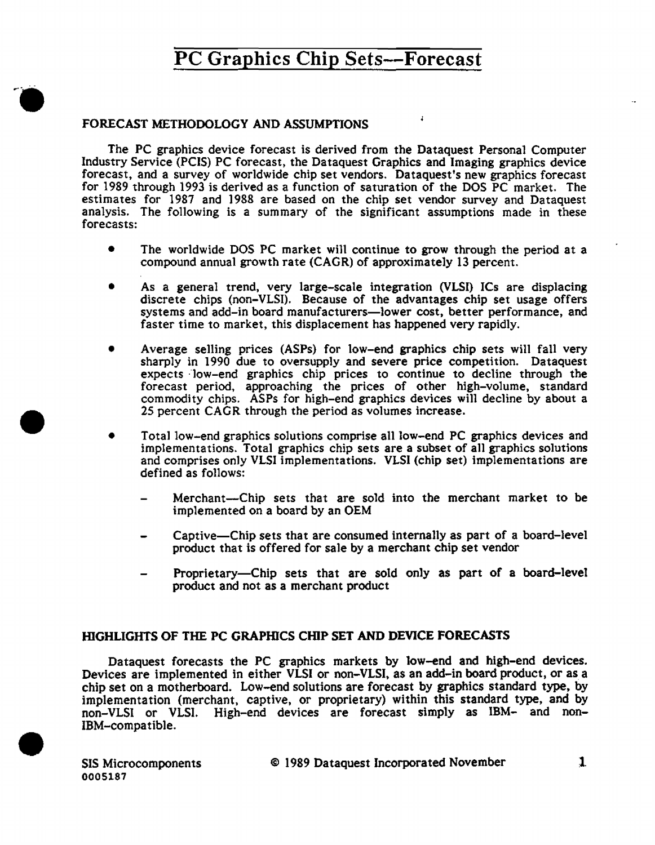### FORECAST METHODOLOGY AND ASSUMPTIONS

The PC graphics device forecast is derived from the Dataquest Personal Computer Industry Service (PCIS) PC forecast, the Dataquest Graphics and Imaging graphics device forecast, and a survey of worldwide chip set vendors. Dataquest's new graphics forecast for 1989 through 1993 is derived as a function of saturation of the DOS PC market. The estimates for 1987 and 1988 are based on the chip set vendor survey and Dataquest analysis. The fo11owing is a summary of the significant assumptions made in these forecasts:

- The worldwide DOS PC market will continue to grow through the period at a compound annual growth rate (CAGR) of approximately 13 percent.
- As a general trend, very large-scale integration (VLSI) ICs are displacing discrete chips (non-VLSI). Because of the advantages chip set usage offers systems and add-in board manufacturers-lower cost, better performance, and faster time to market, this displacement has happened very rapidly.
- Average selling prices (ASPs) for low-end graphics chip sets will fall very sharply in 1990 due to oversupply and severe price competition. Dataquest expects low-end graphics chip prices to continue to decline through the forecast period, approaching the prices of other high-volume, standard commodity chips. ASPs for high-end graphics devices will decline by about a 25 percent CAGR through the period as volumes increase .
- Total low-end graphics solutions comprise all low-end PC graphics devices and implementations. Total graphics chip sets are a subset of all graphics solutions and comprises only VLSI implementations. VLSI (chip set) implementations are defined as follows:
	- Merchant-Chip sets that are sold into the merchant market to be implemented on a board by an OEM
	- Captive-Chip sets that are consumed internally as part of a board-level product that is offered for sale by a merchant chip set vendor
	- Proprietary-Chip sets that are sold only as part of a board-level product and not as a merchant product

### HIGHLIGHTS OF THE PC GRAPHICS CHIP SET AND DEVICE FORECASTS

Dataquest forecasts the PC graphics markets by tow-end and high-end devices. Devices are implemented in either VLSI or non-VLSI, as an add-in board product, or as a chip set on a motherboard. Low-end solutions are forecast by graphics standard type, by implementation (merchant, captive, or proprietary) within this standard type, and by non-VLSI or VLSI. High-end devices are forecast simply as IBM- and non-IBM-compatible .

•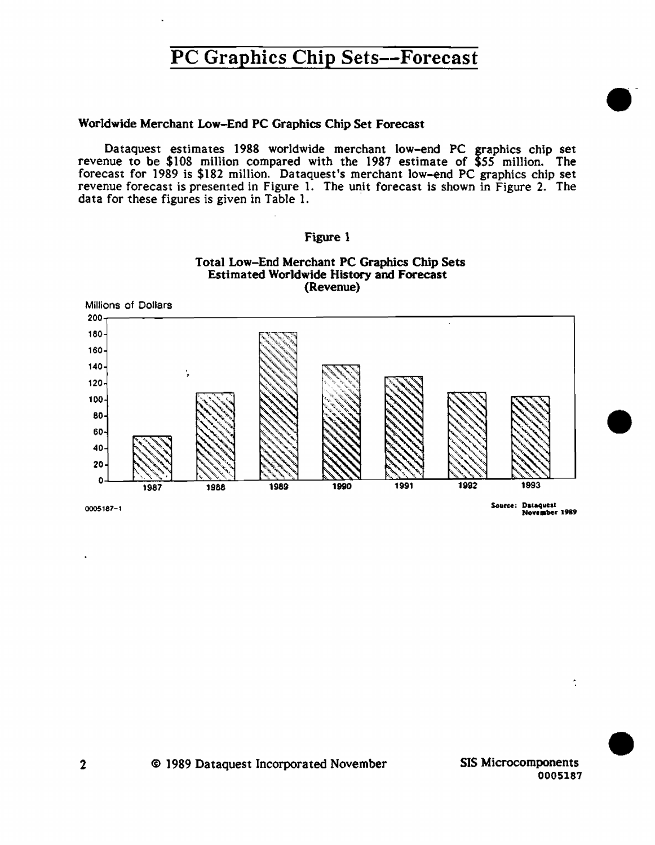### Worldwide Merchant Low-End PC Graphics Chip Set Forecast

Dataquest estimates 1988 worldwide merchant low-end PC graphics chip set revenue to be \$108 million compared with the 1987 estimate of \$55 million. The forecast for 1989 is \$182 million. Dataquest's merchant low-end PC graphics chip set revenue forecast is presented in Figure 1. The unit forecast is shown in Figure 2. The data for these figures is given in Table 1.



Figure 1

0005187-1

Source: Dataquest November 1989

© 1989 Dataquest Incorporated November

SIS Microcomponents 0005187

Ą.

### $\mathbf{2}$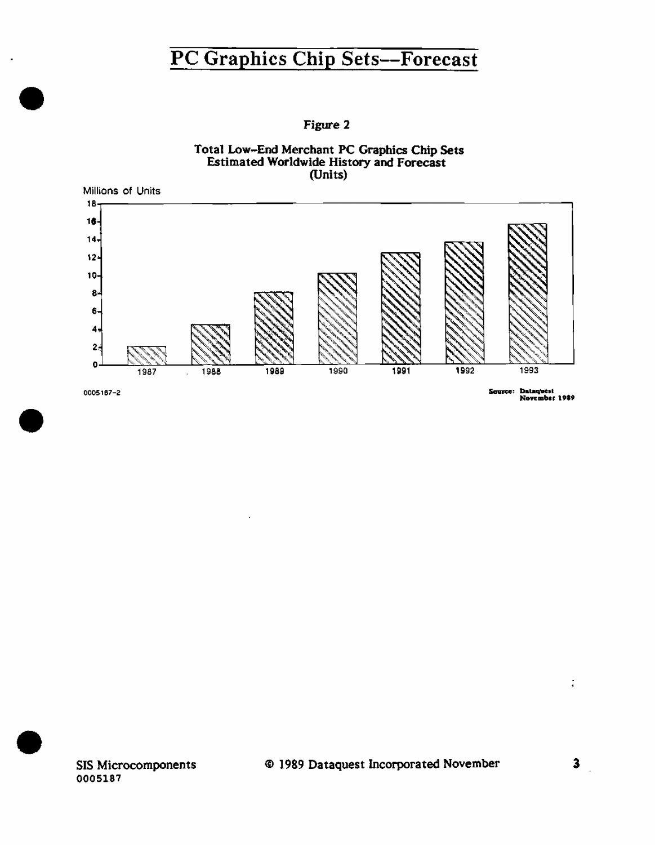Figure 2





0005187-2

Source: Dataquest<br>November 1989

SIS Microcomponents 0005187

 $\overline{a}$ 

 $\frac{1}{4}$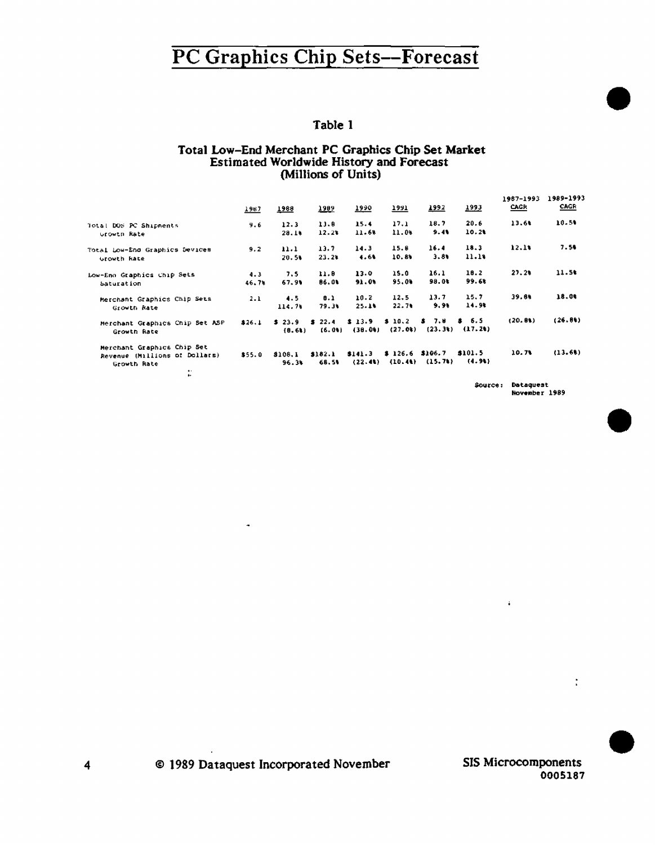### Table 1

## Total Low-End Merchant PC Graphics Chip Set Market<br>Estimated Worldwide History and Forecast (Millions of Units)

|                                | 1967   | 1988    | 7395    | 1990      | <u>1991</u> | 1992               | 7333              | 1987-1993<br>CAGR | 1989-1993<br><b>CAGR</b> |
|--------------------------------|--------|---------|---------|-----------|-------------|--------------------|-------------------|-------------------|--------------------------|
| Total DOS PC Shipments         | 9.6    | 12.3    | 11.8    | 15.4      | 17.1        | 18.7               | 20.6              | 13.60             | 10.51                    |
| Growth Rate                    |        | 20.16   | 12.2%   | 11.68     | 11.06       | 9.41               | 10.21             |                   |                          |
| Total Low-End Graphics Devices | 9.2    | 11.1    | 13.7    | 14.3      | 15.8        | 16.4               | 18.3              | 12.1%             | 7.50                     |
| Growth Rate                    |        | 20.51   | 23.24   | 1.61      | 10.8%       | 3.81               | 11.18             |                   |                          |
| Low-Eno Graphics Chip Sets     | 4.3    | 7.5     | 11.0    | 13.0      | 15.0        | 16.1               | 18.2              | 27.26             | 11.5%                    |
| Saturation                     | 46.76  | 67.90   | 86.0%   | 91.05     | 95.0%       | 99.0%              | 99.68             |                   |                          |
| Merchant Graphics Chip Sets    | 2.1    | 4.5     | 8.1     | 10.2      | 12.5        | 13.7               | 15.7              | 39.8%             | 18.04                    |
| Growth Rate                    |        | 114.76  | 79.31   | $25 - 14$ | 22.71       | 9.96               | 14.98             |                   |                          |
| Merchant Graphics Chip Set ASP | \$26.1 | \$23.9  | 3, 22.4 | \$13.9    | \$10.2\$    | \$7.8              | \$6.5             | (20.81)           | (26.84)                  |
| Growth Rate                    |        | (0.61)  | (6.01)  | (38.0)    | (27.0)      | (23.3)             | (17.2)            |                   |                          |
| Merchant Graphics Chip Set     |        |         |         |           |             |                    |                   |                   |                          |
| Revenue (Millions of Dollars)  | \$55.0 | 8108.1  | \$182.1 | \$141.3   | \$126.6     | \$106.7<br>(15.71) | \$101.5<br>(4.91) | 10.7%             | (13.61)                  |
| Growth Rate<br>$\bullet$       |        | $96.3*$ | 68.51   | (22.41)   | (10.41)     |                    |                   |                   |                          |
| ٠.                             |        |         |         |           |             |                    |                   |                   |                          |

Source: Dataguest<br>November 1989

© 1989 Dataquest Incorporated November

×

 $\ddot{\phantom{a}}$ 

 $\ddot{\phantom{1}}$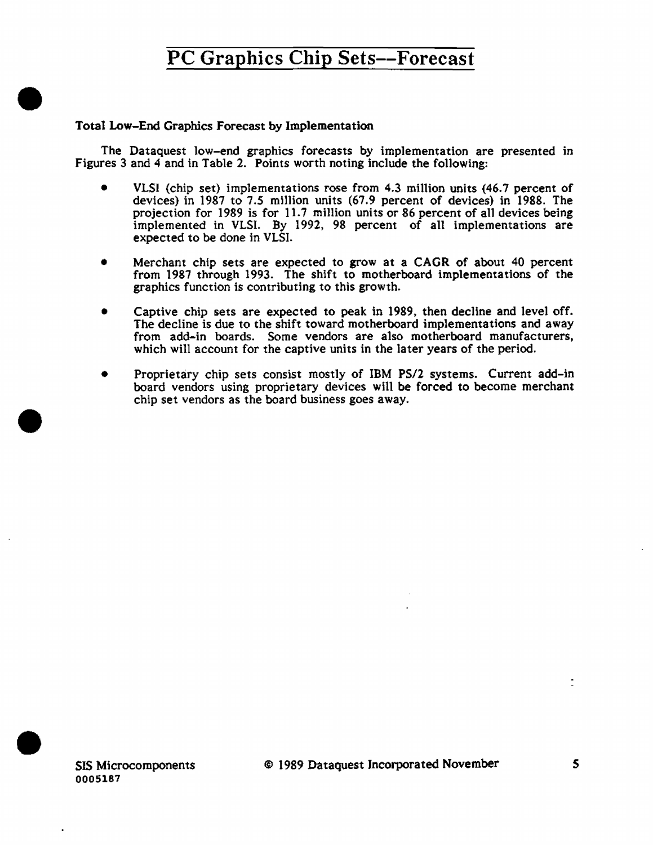### Total Low-End Graphics Forecast by Implementation

•

•

•

The Dataquest low-end graphics forecasts by implementation are presented in Figures 3 and 4 and in Table 2. Points worth noting include the following:

- VLSI (chip set) implementations rose from 4.3 million units (46.7 percent of devices) in 1987 to 7.5 million units (67.9 percent of devices) in 1988. The projection for 1989 is for 11.7 million units or 86 percent of all devices being implemented in VLSI. By 1992, 98 percent of all implementations are expected to be done in VLSI.
- Merchant chip sets are expected to grow at a CAGR of about 40 percent from 1987 through 1993. The shift to motherboard implementations of the graphics function is contributing to this growth.
- Captive chip sets are expected to peak in 1989, then decline and level off. The decline is due to the shift toward motherboard implementations and away from add-in boards. Some vendors are also motherboard manufacturers, which will account for the captive units in the later years of the period.
- Proprietary chip sets consist mostly of IBM PS/2 systems. Current add-in board vendors using proprietary devices will be forced to become merchant chip set vendors as the board business goes away.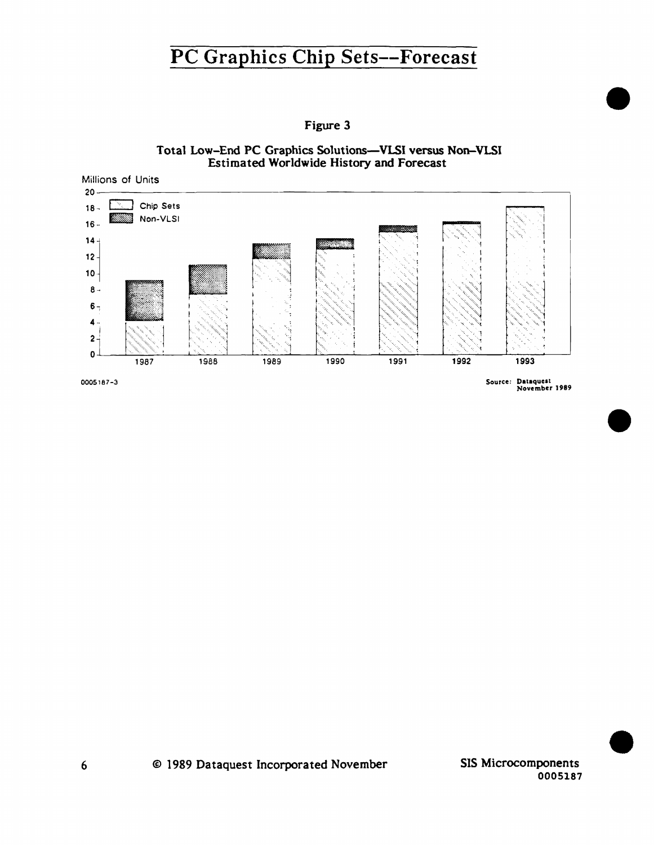

© 1989 Dataquest Incorporated November

Figure 3

SIS Microcomponents 0005187

Total Low-End PC Graphics Solutions-VLSI versus Non-VLSI Estimated Worldwide History and Forecast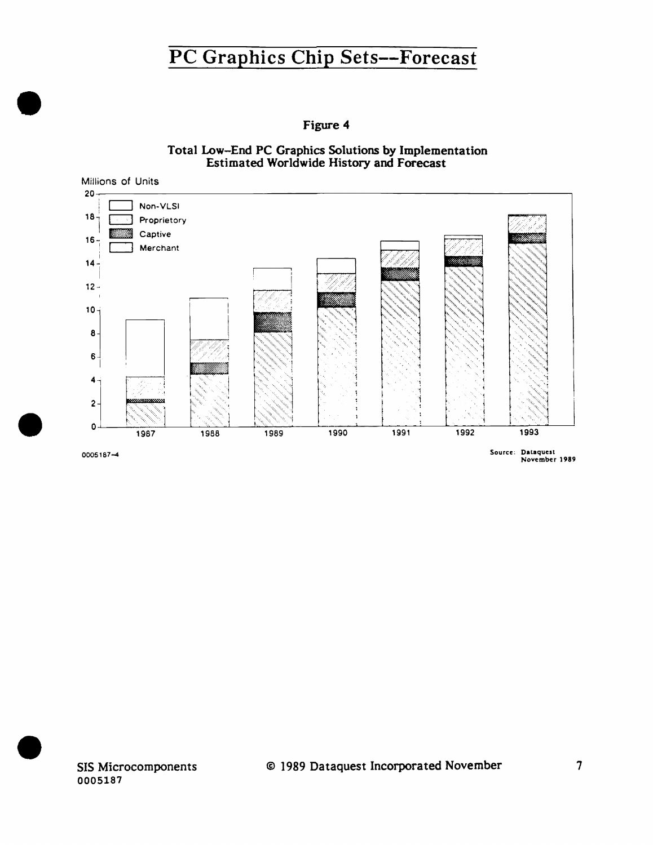Figure 4

Total Low-End PC Graphics Solutions by Implementation Estimated Worldwide History and Forecast



0005187

•

•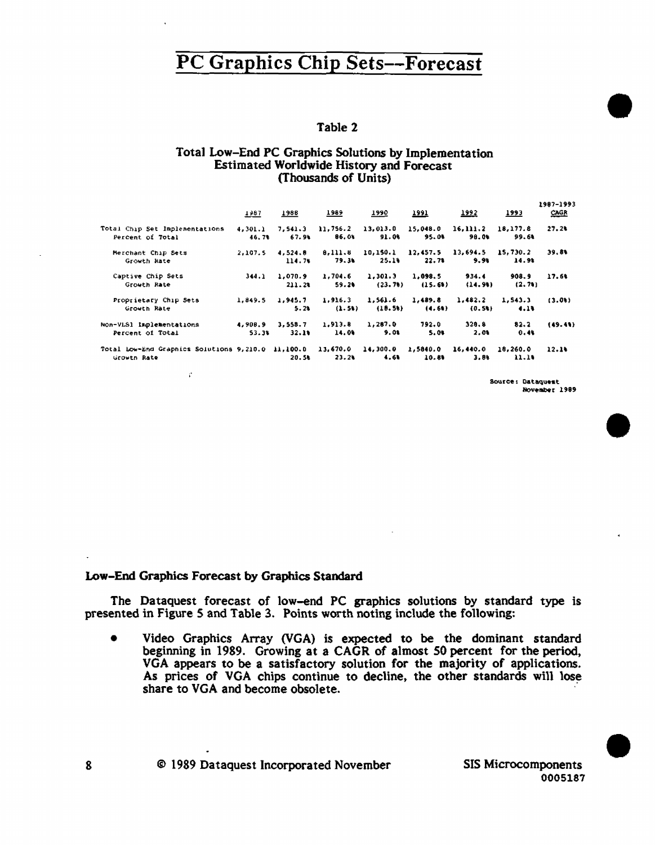### Table 2

#### Total Low-End PC Graphics Solutions by Implementation **Estimated Worldwide History and Forecast** (Thousands of Units)

|                                                                  | 1987             | 1988              | 1989              | 1990              | <u>1991</u>        | 1992              | 1993              | 1987-1993<br>CAGR |
|------------------------------------------------------------------|------------------|-------------------|-------------------|-------------------|--------------------|-------------------|-------------------|-------------------|
| Total Chip Set Implementations<br>Percent of Total               | 4,301.1<br>46.7% | 7,541.3<br>67.96  | 11,756.2<br>86.01 | 13,013.0<br>91.0% | 15.048.0<br>95.00  | 16,111.2<br>98.00 | 18,177.8<br>99.64 | 27.24             |
| Merchant Chip Sets<br>Growth Rate                                | 2.107.5          | 4.524.8<br>114.74 | 0.111.6<br>79.34  | 10,150.1<br>25.19 | 12,457.5<br>22.78  | 13,694.5<br>9.9%  | 15,730.2<br>14.9% | 39.81             |
| Captive Chip Sets<br>Growth Rate                                 | 344.1            | 1.070.9<br>211.2% | 1,704.6<br>59.20  | 1,301.3<br>(23.7) | 1,098.5<br>(15.61) | 934.4<br>(14.91)  | 908.9<br>(2.71)   | 17.60             |
| Proprietary Chip Sets<br>Growth Rate                             | 1.849.5          | 1,945.7<br>5.21   | 1,916.3<br>(1.51) | 1,561.6<br>(10.5) | 1.489.8<br>(4.64)  | 1.482.2<br>(0.51) | 1,543.3<br>4.14   | (3.01)            |
| Non-VLS1 Implementations<br>Percent of Total                     | 4,908.9<br>53.3% | 3,558.7<br>32.11  | 1,913.8<br>14.09  | 1,287.0<br>9.01   | 792.0<br>5.01      | 320.8<br>2.01     | 82.2<br>0.44      | (49.41)           |
| Total Low-End Graphics Solutions 9,210.0 11,100.0<br>Grovin Rate |                  | 20.50             | 13,670.0<br>23.24 | 14,300.0<br>4.61  | 1,5840.0<br>10.89  | 16,440.0<br>3.80  | 18,260.0<br>11.10 | 12.14             |

Source: Dataquest November 1989

#### Low-End Graphics Forecast by Graphics Standard

 $\mathcal{C}$ 

The Dataquest forecast of low-end PC graphics solutions by standard type is presented in Figure 5 and Table 3. Points worth noting include the following:

Video Graphics Array (VGA) is expected to be the dominant standard  $\bullet$ beginning in 1989. Growing at a CAGR of almost 50 percent for the period, VGA appears to be a satisfactory solution for the majority of applications. As prices of VGA chips continue to decline, the other standards will lose share to VGA and become obsolete.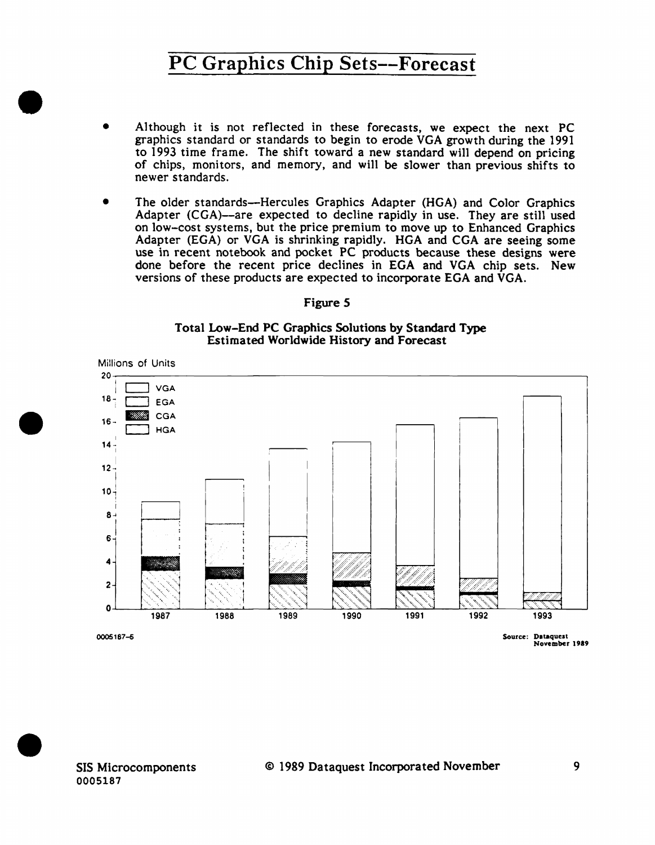- A1though it is not reflected in these forecasts, we expect the next PC graphics standard or standards to begin to erode VGA growth during the 1991 to 1993 time frame. The shift toward a new standard wi11 depend on pricing of chips, monitors, and memory, and will be slower than previous shifts to newer standards.
- The older standards-Hercules Graphics Adapter (HGA) and Color Graphics Adapter (CGA)--are expected to decline rapidly in use. They are still used on low-cost systems, but the price premium to move up to Enhanced Graphics Adapter (EGA) or VGA is shrinking rapidly. HGA and CGA are seeing some use in recent notebook and pocket PC products because these designs were done before the recent price declines in EGA and VGA chip sets. New versions of these products are expected to incorporate EGA and VGA.

#### Figure *5*

#### Total Low-End PC Graphics Solutions by Standard Type Estimated Worldwide History and Forecast



SIS Microcomponents 0005187

•

•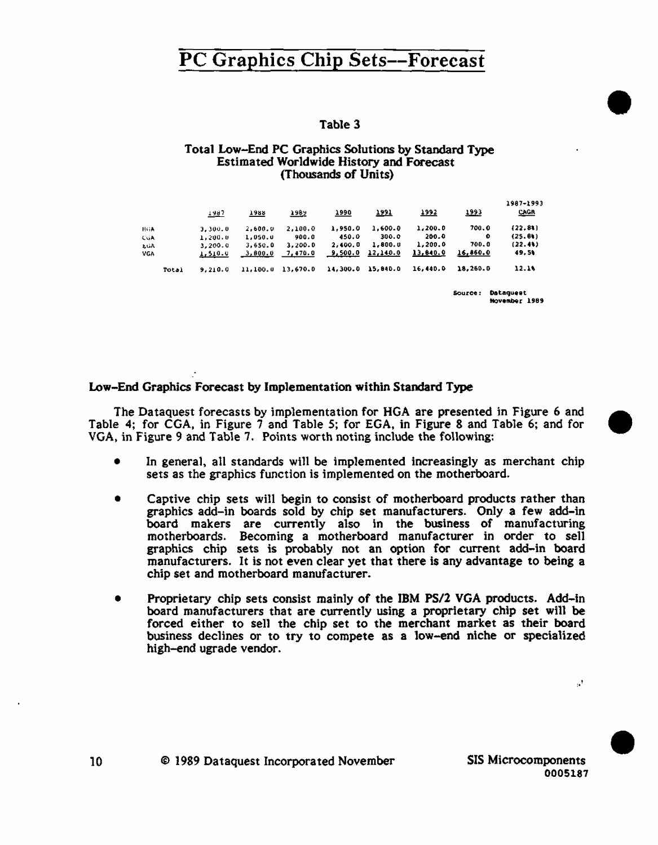### Table 3

#### Total Low-End PC Graphics Solutions by Standard Type **Estimated Worldwide History and Forecast** (Thousands of Units)

|            | 1987    | 1988     | <u> 2982</u> | 7990     | 1991     | 1992     | 1993     | 1987-1993<br><b>CAGR</b> |
|------------|---------|----------|--------------|----------|----------|----------|----------|--------------------------|
| <b>HGA</b> | 3.300.0 | 2.600.0  | 2.100.0      | 1.950.0  | 1.600.0  | 1,200.0  | 700.0    | (22.81)                  |
| CGA        | 1,200,0 | 1,050.0  | 900.0        | 450.0    | 300.0    | 200.0    | ۰        | (25.81)                  |
| EGA        | 3,200.0 | 3.650.0  | 3.200.0      | 2.400.0  | 1,800.0  | 1,200.0  | 700.0    | (22.41)                  |
| VGA        | 1,510.0 | 3,800.0  | 7,470.0      | 9,500.0  | 12,140.0 | 13,840.0 | 16,850.0 | 49.54                    |
| Total      | 9,210.0 | 11,100.0 | 13.670.0     | 14,300.0 | 15,840.0 | 16,440.0 | 18,260.0 | 12.14                    |

Source: Dataquest November 1989

### Low-End Graphics Forecast by Implementation within Standard Type

The Dataquest forecasts by implementation for HGA are presented in Figure 6 and Table 4; for CGA, in Figure 7 and Table 5; for EGA, in Figure 8 and Table 6; and for VGA, in Figure 9 and Table 7. Points worth noting include the following:

- In general, all standards will be implemented increasingly as merchant chip  $\bullet$ sets as the graphics function is implemented on the motherboard.
- Captive chip sets will begin to consist of motherboard products rather than graphics add-in boards sold by chip set manufacturers. Only a few add-in board makers are currently also in the business of manufacturing motherboards. Becoming a motherboard manufacturer in order to sell graphics chip sets is probably not an option for current add-in board manufacturers. It is not even clear yet that there is any advantage to being a chip set and motherboard manufacturer.
- Proprietary chip sets consist mainly of the IBM PS/2 VGA products. Add-in board manufacturers that are currently using a proprietary chip set will be forced either to sell the chip set to the merchant market as their board business declines or to try to compete as a low-end niche or specialized high-end ugrade vendor.

 $\mathbf{r}^{\mathrm{t}}$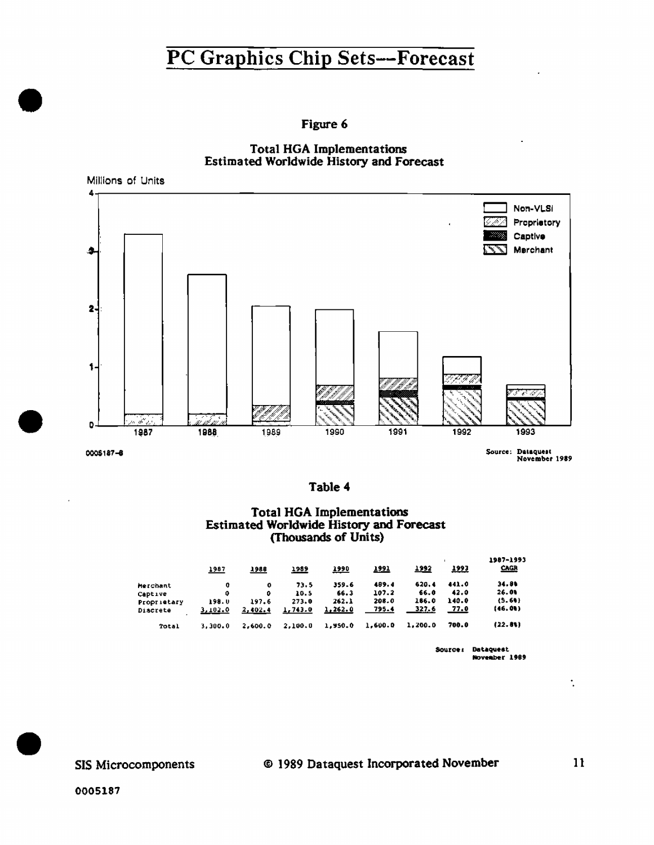Figure 6





Table 4

#### **Total HGA Implementations** Estimated Worldwide History and Forecast (Thousands of Units)

|             | 1987    | 1988    | 1989    | 1990    | <u> 1991 </u> | <u> 1992 </u> | <u> 1993</u> | 1987-1993<br><b>CAGR</b> |
|-------------|---------|---------|---------|---------|---------------|---------------|--------------|--------------------------|
| Merchant    | û       | o       | 73.5    | 359.6   | 489.4         | 620.4         | 441.0        | 34.54                    |
| Captive     | 0       | ۰       | 10.5    | 66.3    | 107.2         | 66.0          | 42.0         | 26.01                    |
| Proprietary | 198.0   | 197.6   | 273.0   | 262.1   | 208.0         | 186.0         | 140.0        | (5.60)                   |
| Discrete    | 3,102.0 | 2,402.4 | 1,743.0 | 1,262.0 | 795.4         | 327.6         | 77.0         | 146.OU)                  |
| Total       | 3.300.0 | 2.600.0 | 2.100.0 | 1,950.0 | 1.600.0       | 1.200.0       | 700.0        | (22.81)                  |
|             |         |         |         |         |               |               |              |                          |

Source: Dataquest<br>November 1989

SIS Microcomponents

 $11$ 

 $\ddot{\phantom{a}}$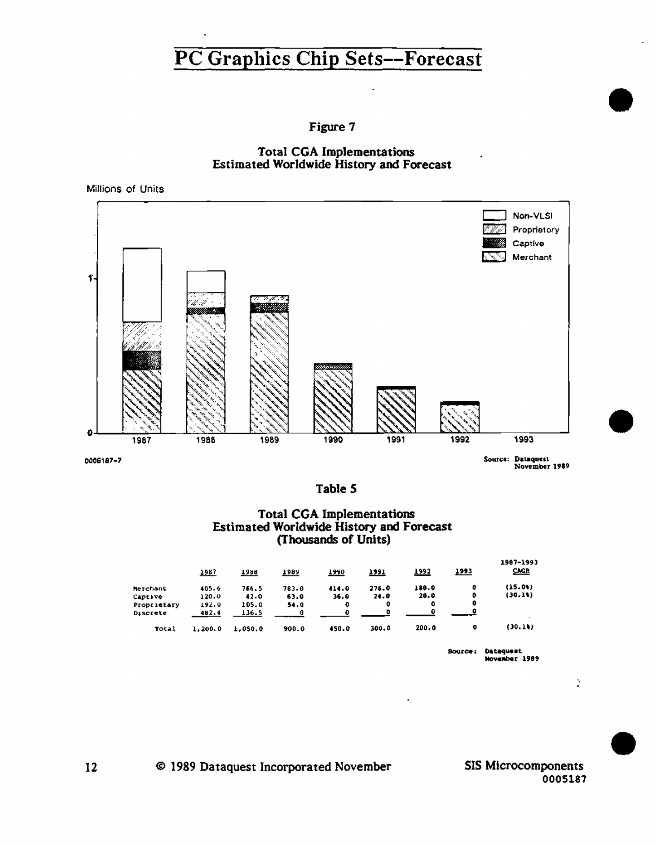



Millions of Units



Source: Dataquest<br>November 1989

Table 5

#### **Total CGA Implementations** Estimated Worldwide History and Forecast (Thousands of Units)

|                 | <u> 1987 </u> | <u>Таян</u> | <u>1989</u> | 1990  | <u>1991</u> | 1992  | <u> 1993 </u> | 1987-1993<br>CAGR |
|-----------------|---------------|-------------|-------------|-------|-------------|-------|---------------|-------------------|
| Merchant        | 405.6         | 766.5       | 783.0       | 414.0 | 276.0       | 180.0 | ۰             | (15.01)           |
| <b>Captive</b>  | 120.0         | 42.0        | 63.0        | 36.0  | 24.0        | 20.0  | ۰             | (30.11)           |
| Proprietary     | 192.0         | 105.0       | 54.0        | o     | o           | 0     | 0             |                   |
| <b>Discrete</b> | 482.4         | 136.5       |             | o     |             |       | 0             |                   |
| Total           | 1,200.0       | 1,050.0     | 900.0       | 450.0 | 300.0       | 200.0 | 0             | (30.1)            |
|                 |               |             |             |       |             |       |               |                   |

Source: Dataguest November 1989

**SIS Microcomponents** 0005187

 $\mathcal{I}$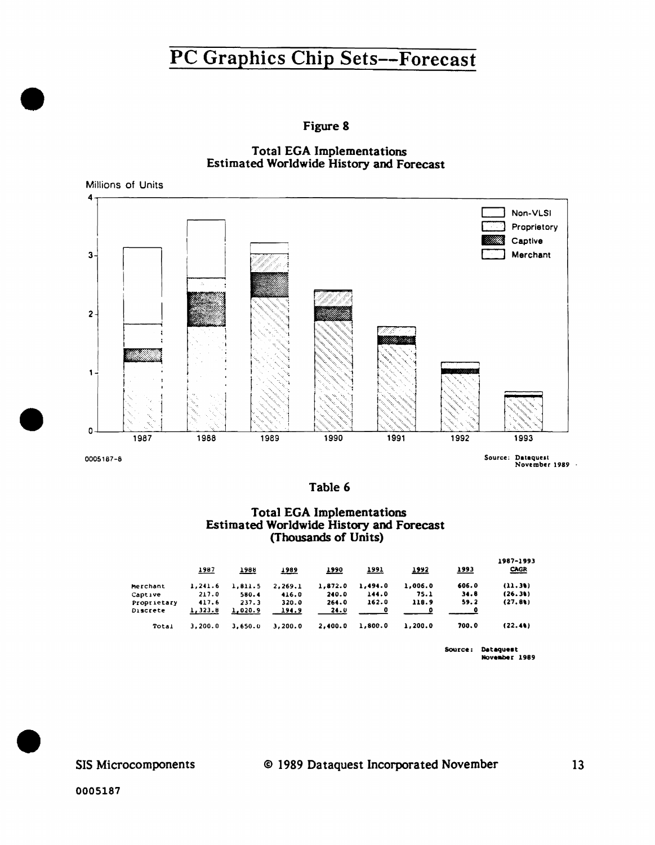Figure 8



Millions of Units



Source: Dataquest<br>November 1989 -

Table 6

## **Total EGA Implementations** Estimated Worldwide History and Forecast<br>(Thousands of Units)

|             | 1987     | <b>1988</b> | 1989    | 1990    | <u>1991</u> | 1992    | <u> 1993</u> | 1987-1993<br><b>CAGR</b> |
|-------------|----------|-------------|---------|---------|-------------|---------|--------------|--------------------------|
| Merchant    | 1.241.6  | 1.811.5     | 2,269.1 | 1.872.0 | 1,494.0     | 1,006.0 | 606.0        | (11.30)                  |
| Captive     | 217.0    | 580.4       | 416.0   | 240.0   | 144.0       | 75.1    | 34.8         | (26.31)                  |
| Proprietary | 417.6    | 237.3       | 320.0   | 264.0   | 162.0       | 118.9   | 59.2         | (27.8)                   |
| Discrete    | 1, 323.8 | 1,020.9     | 194.9   | 24.0    | o           | n       | 0            |                          |
| Total       | 3.200.0  | 3.650.0     | 3,200.0 | 2,400.0 | 1,800.0     | 1,200.0 | 700.0        | (22.41)                  |
|             |          |             |         |         |             |         |              |                          |

Source: Dataquest November 1989

SIS Microcomponents

0005187

 $13$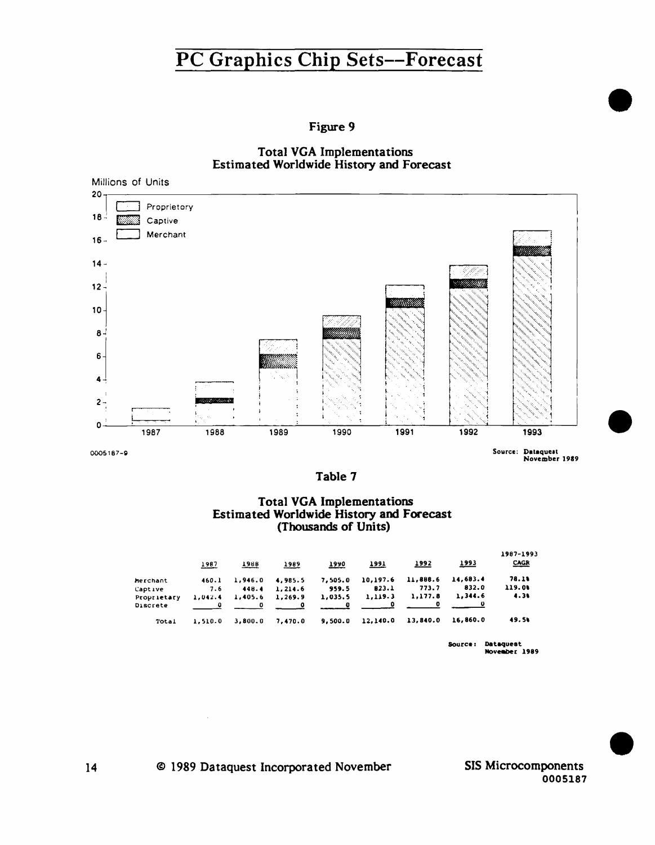Figure 9

**Total VGA Implementations** Estimated Worldwide History and Forecast



Table 7

### **Total VGA Implementations** Estimated Worldwide History and Forecast (Thousands of Units)

|             | 1987    | 1988    | 1989    | 1990    | 1991     | 1992     | <u> 1993</u> | 1987-1993<br>CACR             |
|-------------|---------|---------|---------|---------|----------|----------|--------------|-------------------------------|
| Merchant    | 460.1   | 1.946.0 | 4,985.5 | 7.505.0 | 10,197.6 | 11,888.6 | 14,683.4     | 78.1%                         |
| Captive     | 7.6     | 448.4   | 1.214.6 | 959.5   | 823.1    | 773.7    | 832.0        | 119.00                        |
| Proprietary | 1.042.4 | 1,405.6 | 1,269.9 | 1,035.5 | 1,119.3  | 1,177.8  | 1,344.6      | 4.31                          |
| Discrete    |         |         |         |         | Ð        | o        |              |                               |
| Total       | 1,510.0 | 3.800.0 | 7.470.0 | 9.500.0 | 12,140.0 | 13.840.0 | 16,860.0     | 49.54                         |
|             |         |         |         |         |          |          |              | <b><i><u>Batamond</u></i></b> |

**Dataguest**<br>November 1989

SIS Microcomponents 0005187

© 1989 Dataquest Incorporated November

 $\bar{z}$ 

 $14$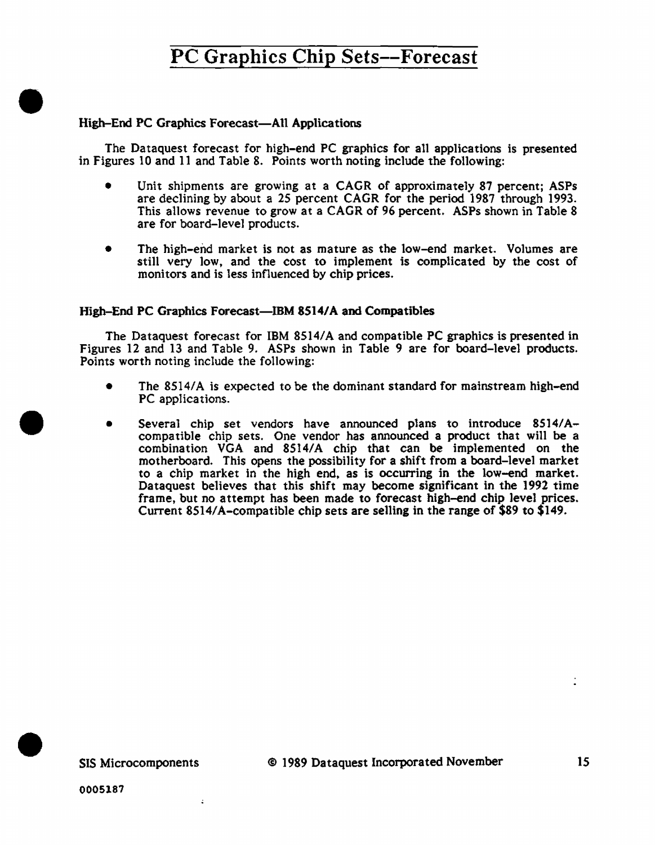### High-End PC Graphics Forecast-All Applications

•

•

•

The Dataquest forecast for high-end PC graphics for all applications is presented in Figures 10 and 11 and Tab1e 8. Points worth noting include the following:

- Unit shipments are growing at a CAGR of approximate1y 87 percent; ASPs are declining by about a 25 percent CAGR for the period 1987 through 1993. This allows revenue to grow at a CAGR of 96 percent. ASPs shown in Table 8 are for board-level products.
- The high-end market is not as mature as the low-end market. Volumes are still very low. and the cost to implement is complicated by the cost of monitors and is less influenced by chip prices.

### High-End PC Graphics Forecast-IBM 8514/A and Compatibles

The Dataquest forecast for IBM 8514/A and compatible PC graphics is presented in Figures 12 and 13 and Table 9. ASPs shown in Table 9 are for board-level products. Points worth noting include the following:

- The 8514/A is expected to be the dominant standard for mainstream high-end PC applications.
- Several chip set vendors have announced plans to introduce 8514/Acompatible chip sets. One vendor has announced a product that will be a combination VGA and 8514/A chip that can be implemented on the motherboard. This opens the possibility for a shift from a board-level market to a chip market in the high end. as is occurring in the low-end market. Dataquest believes that this shift may become significant in the 1992 time frame, but no attempt has been made to forecast high-end chip level prices. Current 8514/A-compatible chip sets are selling in the range of \$89 to \$149 .

 $\ddot{ }$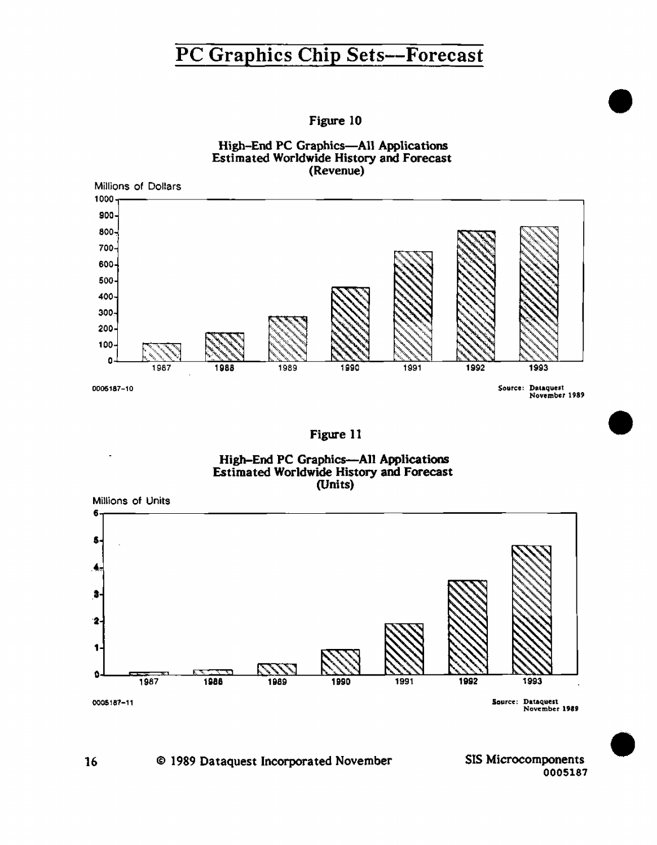Figure 10





Figure 11





### 16 © 1989 Dataquest Incorporated November

SIS Microcomponents 0005187 •

•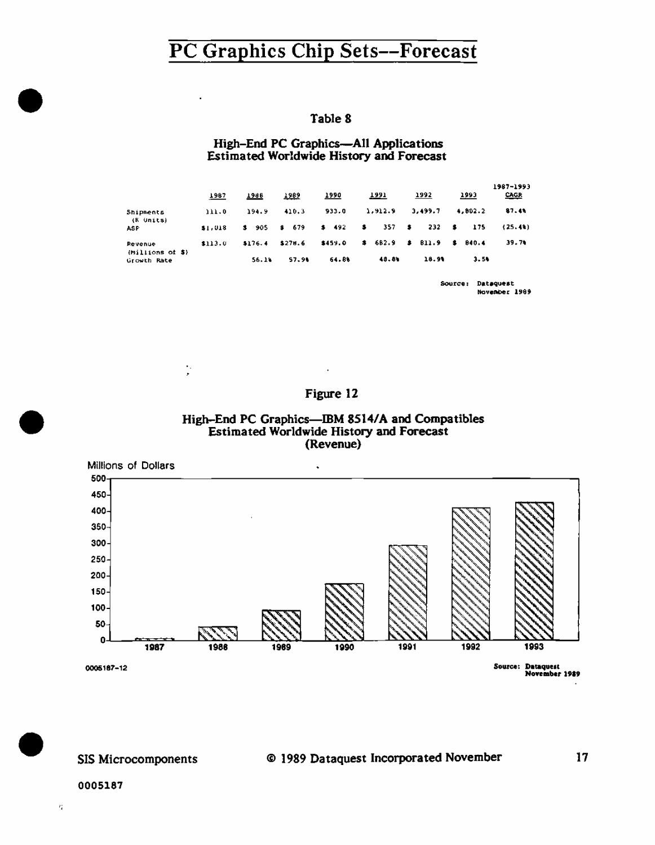÷,

 $\frac{1}{\epsilon}$ 

### Table 8

### High-End PC Graphics-All Applications Estimated Worldwide History and Forecast

|                             | 1987    | 1988    | 1989    | <u> 1990</u> |              | <u> 1991 </u> |              | 1992     |     | <u> 1993 </u> | 1987-1993<br>CACR |
|-----------------------------|---------|---------|---------|--------------|--------------|---------------|--------------|----------|-----|---------------|-------------------|
| Shipments<br>(K Units)      | 111.0   | 194.9   | 410.3   | 933.0        |              | 1,912.9       |              | 3.499.7  |     | 4,802.2       | 87.4%             |
| ASP                         | \$1,018 | \$ 905  | 679     | $5 - 492$    | $\mathbf{s}$ | 357           | $\mathbf{3}$ | 232      | - 8 | 375           | (25.4)            |
| Revenue<br>(Millions of \$) | \$113.0 | \$176.4 | \$278.6 | \$459.0      |              | \$602.9       |              | \$ 811.9 | -8  | <b>B40.4</b>  | 39.74             |
| Growth Rate                 |         | 56.14   | 57.91   | 64.8%        |              | 48.84         |              | 18.91    |     | 3.50          |                   |

Source: Dataquest November 1989

 $17$ 

### Figure 12

 $\star$ 





#### SIS Microcomponents

#### © 1989 Dataquest Incorporated November

#### 0005187